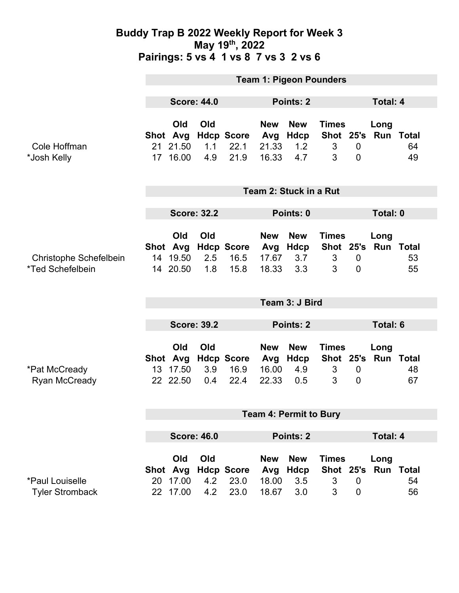|                                            | <b>Team 1: Pigeon Pounders</b> |                                         |                   |                                   |                                     |                                         |                                     |                                  |                             |          |  |
|--------------------------------------------|--------------------------------|-----------------------------------------|-------------------|-----------------------------------|-------------------------------------|-----------------------------------------|-------------------------------------|----------------------------------|-----------------------------|----------|--|
|                                            | <b>Score: 44.0</b>             |                                         |                   | Points: 2                         |                                     |                                         |                                     | Total: 4                         |                             |          |  |
| Cole Hoffman<br>*Josh Kelly                |                                | Old<br>Shot Avg<br>21 21.50<br>17 16.00 | Old<br>1.1<br>4.9 | <b>Hdcp Score</b><br>22.1<br>21.9 | <b>New</b><br>Avg<br>21.33<br>16.33 | <b>New</b><br><b>Hdcp</b><br>1.2<br>4.7 | <b>Times</b><br>Shot 25's<br>3<br>3 | 0<br>$\overline{0}$              | Long<br><b>Run Total</b>    | 64<br>49 |  |
|                                            | Team 2: Stuck in a Rut         |                                         |                   |                                   |                                     |                                         |                                     |                                  |                             |          |  |
|                                            | <b>Score: 32.2</b>             |                                         |                   |                                   | Points: 0                           |                                         |                                     |                                  | Total: 0                    |          |  |
| Christophe Schefelbein<br>*Ted Schefelbein |                                | Old<br>Shot Avg<br>14 19.50<br>14 20.50 | Old<br>2.5<br>1.8 | <b>Hdcp Score</b><br>16.5<br>15.8 | <b>New</b><br>Avg<br>17.67<br>18.33 | <b>New</b><br>Hdcp<br>3.7<br>3.3        | <b>Times</b><br>3<br>3              | $\mathbf 0$<br>$\overline{0}$    | Long<br>Shot 25's Run Total | 53<br>55 |  |
|                                            | Team 3: J Bird                 |                                         |                   |                                   |                                     |                                         |                                     |                                  |                             |          |  |
|                                            | <b>Score: 39.2</b>             |                                         |                   | Points: 2                         |                                     |                                         |                                     | Total: 6                         |                             |          |  |
| *Pat McCready<br><b>Ryan McCready</b>      |                                | Old<br>Shot Avg<br>13 17.50<br>22 22.50 | Old<br>3.9<br>0.4 | <b>Hdcp Score</b><br>16.9<br>22.4 | <b>New</b><br>Avg<br>16.00<br>22.33 | <b>New</b><br>Hdcp<br>4.9<br>0.5        | <b>Times</b><br>3<br>3              | $\overline{0}$<br>$\overline{0}$ | Long<br>Shot 25's Run Total | 48<br>67 |  |
|                                            | <b>Team 4: Permit to Bury</b>  |                                         |                   |                                   |                                     |                                         |                                     |                                  |                             |          |  |
|                                            | <b>Score: 46.0</b>             |                                         |                   |                                   | Points: 2                           |                                         |                                     | <b>Total: 4</b>                  |                             |          |  |
| *Paul Louiselle<br><b>Tyler Stromback</b>  | 20<br>22                       | Old<br>Shot Avg<br>17.00<br>17.00       | Old<br>4.2<br>4.2 | <b>Hdcp Score</b><br>23.0<br>23.0 | <b>New</b><br>Avg<br>18.00<br>18.67 | <b>New</b><br><b>Hdcp</b><br>3.5<br>3.0 | <b>Times</b><br>3<br>3              | $\overline{0}$<br>0              | Long<br>Shot 25's Run Total | 54<br>56 |  |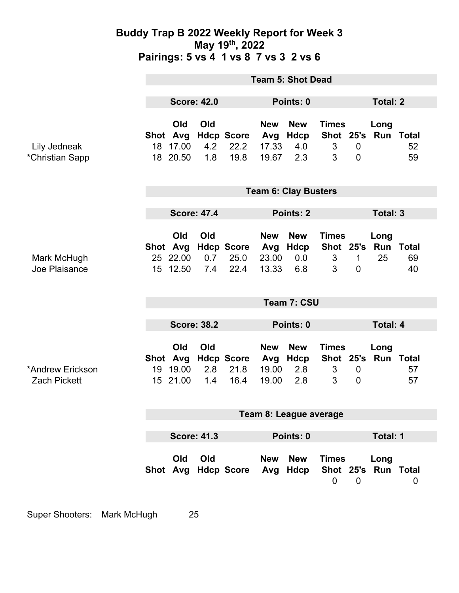|                                         | <b>Team 5: Shot Dead</b>           |                             |                   |                                     |                                     |                                         |                                     |                                    |                                |          |
|-----------------------------------------|------------------------------------|-----------------------------|-------------------|-------------------------------------|-------------------------------------|-----------------------------------------|-------------------------------------|------------------------------------|--------------------------------|----------|
|                                         | <b>Score: 42.0</b>                 |                             |                   | Points: 0                           |                                     |                                         | <b>Total: 2</b>                     |                                    |                                |          |
| Lily Jedneak<br>*Christian Sapp         | Shot Avg                           | Old<br>18 17.00<br>18 20.50 | Old<br>4.2<br>1.8 | <b>Hdcp Score</b><br>22.2<br>19.8   | <b>New</b><br>Avg<br>17.33<br>19.67 | <b>New</b><br><b>Hdcp</b><br>4.0<br>2.3 | <b>Times</b><br>3<br>3              | $\boldsymbol{0}$<br>$\overline{0}$ | Long<br>Shot 25's Run Total    | 52<br>59 |
|                                         | <b>Team 6: Clay Busters</b>        |                             |                   |                                     |                                     |                                         |                                     |                                    |                                |          |
|                                         | <b>Score: 47.4</b>                 |                             |                   |                                     | <b>Points: 2</b>                    |                                         |                                     | Total: 3                           |                                |          |
| Mark McHugh<br>Joe Plaisance            |                                    | Old<br>25 22.00<br>15 12.50 | Old<br>0.7<br>7.4 | Shot Avg Hdcp Score<br>25.0<br>22.4 | <b>New</b><br>Avg<br>23.00<br>13.33 | <b>New</b><br>Hdcp<br>0.0<br>6.8        | <b>Times</b><br>Shot 25's<br>3<br>3 | $\mathbf 1$<br>$\overline{0}$      | Long<br><b>Run Total</b><br>25 | 69<br>40 |
|                                         | Team 7: CSU                        |                             |                   |                                     |                                     |                                         |                                     |                                    |                                |          |
|                                         |                                    |                             |                   |                                     |                                     |                                         |                                     |                                    |                                |          |
|                                         | <b>Score: 38.2</b><br>Points: 0    |                             |                   |                                     | <b>Total: 4</b>                     |                                         |                                     |                                    |                                |          |
| *Andrew Erickson<br><b>Zach Pickett</b> | Shot Avg                           | Old<br>19 19.00<br>15 21.00 | Old<br>2.8<br>1.4 | <b>Hdcp Score</b><br>21.8<br>16.4   | <b>New</b><br>Avg<br>19.00<br>19.00 | <b>New</b><br><b>Hdcp</b><br>2.8<br>2.8 | <b>Times</b><br>3<br>3              | $\mathbf 0$<br>$\overline{0}$      | Long<br>Shot 25's Run Total    | 57<br>57 |
|                                         | Team 8: League average<br>Total: 1 |                             |                   |                                     |                                     |                                         |                                     |                                    |                                |          |
|                                         |                                    |                             |                   |                                     |                                     |                                         |                                     |                                    |                                |          |
|                                         | <b>Score: 41.3</b><br>Points: 0    |                             |                   |                                     |                                     |                                         |                                     |                                    |                                |          |
|                                         |                                    | Old                         | Old               | Shot Avg Hdcp Score                 | <b>New</b><br>Avg                   | <b>New</b><br>Hdcp                      | <b>Times</b><br>$\mathbf 0$         | $\mathbf 0$                        | Long<br>Shot 25's Run Total    | 0        |

Super Shooters: Mark McHugh 25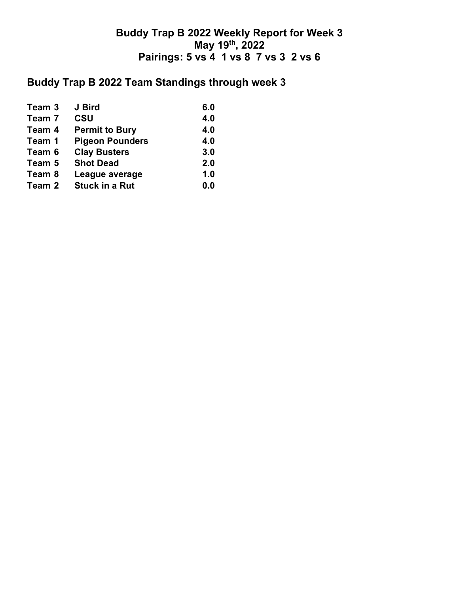## **Buddy Trap B 2022 Team Standings through week 3**

| Team 3 | J Bird                 | 6.0 |
|--------|------------------------|-----|
| Team 7 | <b>CSU</b>             | 4.0 |
| Team 4 | <b>Permit to Bury</b>  | 4.0 |
| Team 1 | <b>Pigeon Pounders</b> | 4.0 |
| Team 6 | <b>Clay Busters</b>    | 3.0 |
| Team 5 | <b>Shot Dead</b>       | 2.0 |
| Team 8 | League average         | 1.0 |
| Team 2 | <b>Stuck in a Rut</b>  | 0.0 |
|        |                        |     |